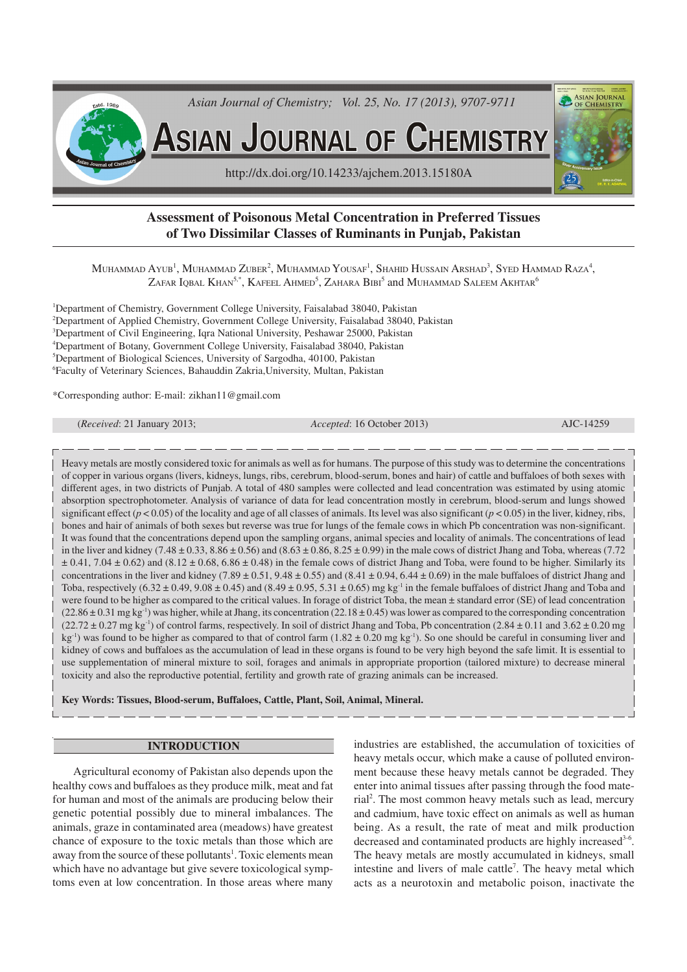

# **Assessment of Poisonous Metal Concentration in Preferred Tissues of Two Dissimilar Classes of Ruminants in Punjab, Pakistan**

Muhammad Ayub<sup>1</sup>, Muhammad Zuber<sup>2</sup>, Muhammad Yousaf<sup>1</sup>, Shahid Hussain Arshad<sup>3</sup>, Syed Hammad Raza<sup>4</sup>, ZAFAR IQBAL  $\rm{KHAN}^{5,*},\rm{KAFEEL\text{AHMED}^5,\text{ZAHARA\text{BIBI}^5}$  and  $\rm{MUHAMMAD\text{SALEEM\text{AKHTAR}^6}}$ 

Department of Chemistry, Government College University, Faisalabad 38040, Pakistan Department of Applied Chemistry, Government College University, Faisalabad 38040, Pakistan Department of Civil Engineering, Iqra National University, Peshawar 25000, Pakistan Department of Botany, Government College University, Faisalabad 38040, Pakistan Department of Biological Sciences, University of Sargodha, 40100, Pakistan Faculty of Veterinary Sciences, Bahauddin Zakria,University, Multan, Pakistan

\*Corresponding author: E-mail: zikhan11@gmail.com

```
(Received: 21 January 2013; Accepted: 16 October 2013) AJC-14259
```
Heavy metals are mostly considered toxic for animals as well as for humans. The purpose of this study was to determine the concentrations of copper in various organs (livers, kidneys, lungs, ribs, cerebrum, blood-serum, bones and hair) of cattle and buffaloes of both sexes with different ages, in two districts of Punjab. A total of 480 samples were collected and lead concentration was estimated by using atomic absorption spectrophotometer. Analysis of variance of data for lead concentration mostly in cerebrum, blood-serum and lungs showed significant effect ( $p < 0.05$ ) of the locality and age of all classes of animals. Its level was also significant ( $p < 0.05$ ) in the liver, kidney, ribs, bones and hair of animals of both sexes but reverse was true for lungs of the female cows in which Pb concentration was non-significant. It was found that the concentrations depend upon the sampling organs, animal species and locality of animals. The concentrations of lead in the liver and kidney (7.48  $\pm$  0.33, 8.86  $\pm$  0.56) and (8.63  $\pm$  0.86, 8.25  $\pm$  0.99) in the male cows of district Jhang and Toba, whereas (7.72)  $\pm$  0.41, 7.04  $\pm$  0.62) and (8.12  $\pm$  0.68, 6.86  $\pm$  0.48) in the female cows of district Jhang and Toba, were found to be higher. Similarly its concentrations in the liver and kidney  $(7.89 \pm 0.51, 9.48 \pm 0.55)$  and  $(8.41 \pm 0.94, 6.44 \pm 0.69)$  in the male buffaloes of district Jhang and Toba, respectively  $(6.32 \pm 0.49, 9.08 \pm 0.45)$  and  $(8.49 \pm 0.95, 5.31 \pm 0.65)$  mg kg<sup>-1</sup> in the female buffaloes of district Jhang and Toba and were found to be higher as compared to the critical values. In forage of district Toba, the mean  $\pm$  standard error (SE) of lead concentration  $(22.86 \pm 0.31 \text{ mg kg}^{-1})$  was higher, while at Jhang, its concentration  $(22.18 \pm 0.45)$  was lower as compared to the corresponding concentration  $(22.72 \pm 0.27 \text{ mg kg}^{-1})$  of control farms, respectively. In soil of district Jhang and Toba, Pb concentration  $(2.84 \pm 0.11 \text{ and } 3.62 \pm 0.20 \text{ mg})$ kg<sup>-1</sup>) was found to be higher as compared to that of control farm (1.82  $\pm$  0.20 mg kg<sup>-1</sup>). So one should be careful in consuming liver and kidney of cows and buffaloes as the accumulation of lead in these organs is found to be very high beyond the safe limit. It is essential to use supplementation of mineral mixture to soil, forages and animals in appropriate proportion (tailored mixture) to decrease mineral toxicity and also the reproductive potential, fertility and growth rate of grazing animals can be increased.

**Key Words: Tissues, Blood-serum, Buffaloes, Cattle, Plant, Soil, Animal, Mineral.**

# **INTRODUCTION**

Agricultural economy of Pakistan also depends upon the healthy cows and buffaloes as they produce milk, meat and fat for human and most of the animals are producing below their genetic potential possibly due to mineral imbalances. The animals, graze in contaminated area (meadows) have greatest chance of exposure to the toxic metals than those which are away from the source of these pollutants<sup>1</sup>. Toxic elements mean which have no advantage but give severe toxicological symptoms even at low concentration. In those areas where many

industries are established, the accumulation of toxicities of heavy metals occur, which make a cause of polluted environment because these heavy metals cannot be degraded. They enter into animal tissues after passing through the food material<sup>2</sup>. The most common heavy metals such as lead, mercury and cadmium, have toxic effect on animals as well as human being. As a result, the rate of meat and milk production decreased and contaminated products are highly increased<sup>3-6</sup>. The heavy metals are mostly accumulated in kidneys, small intestine and livers of male cattle<sup>7</sup>. The heavy metal which acts as a neurotoxin and metabolic poison, inactivate the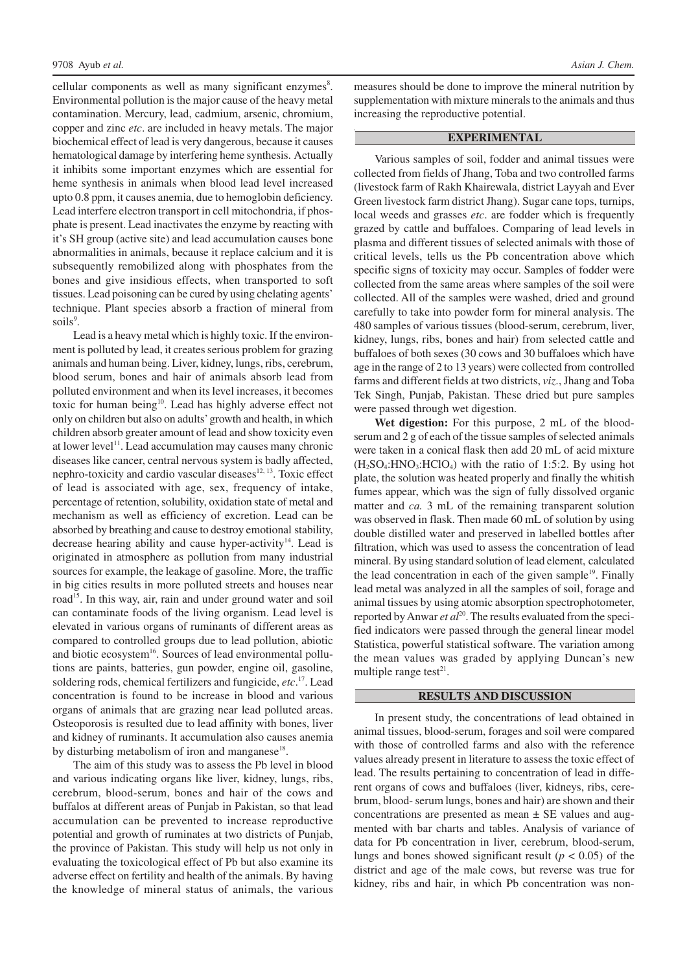cellular components as well as many significant enzymes<sup>8</sup>. Environmental pollution is the major cause of the heavy metal contamination. Mercury, lead, cadmium, arsenic, chromium, copper and zinc *etc*. are included in heavy metals. The major biochemical effect of lead is very dangerous, because it causes hematological damage by interfering heme synthesis. Actually it inhibits some important enzymes which are essential for heme synthesis in animals when blood lead level increased upto 0.8 ppm, it causes anemia, due to hemoglobin deficiency. Lead interfere electron transport in cell mitochondria, if phosphate is present. Lead inactivates the enzyme by reacting with it's SH group (active site) and lead accumulation causes bone abnormalities in animals, because it replace calcium and it is subsequently remobilized along with phosphates from the bones and give insidious effects, when transported to soft tissues. Lead poisoning can be cured by using chelating agents' technique. Plant species absorb a fraction of mineral from soils<sup>9</sup>.

Lead is a heavy metal which is highly toxic. If the environment is polluted by lead, it creates serious problem for grazing animals and human being. Liver, kidney, lungs, ribs, cerebrum, blood serum, bones and hair of animals absorb lead from polluted environment and when its level increases, it becomes toxic for human being<sup>10</sup>. Lead has highly adverse effect not only on children but also on adults' growth and health, in which children absorb greater amount of lead and show toxicity even at lower level<sup>11</sup>. Lead accumulation may causes many chronic diseases like cancer, central nervous system is badly affected, nephro-toxicity and cardio vascular diseases<sup>12, 13</sup>. Toxic effect of lead is associated with age, sex, frequency of intake, percentage of retention, solubility, oxidation state of metal and mechanism as well as efficiency of excretion. Lead can be absorbed by breathing and cause to destroy emotional stability, decrease hearing ability and cause hyper-activity<sup>14</sup>. Lead is originated in atmosphere as pollution from many industrial sources for example, the leakage of gasoline. More, the traffic in big cities results in more polluted streets and houses near road<sup>15</sup>. In this way, air, rain and under ground water and soil can contaminate foods of the living organism. Lead level is elevated in various organs of ruminants of different areas as compared to controlled groups due to lead pollution, abiotic and biotic ecosystem<sup>16</sup>. Sources of lead environmental pollutions are paints, batteries, gun powder, engine oil, gasoline, soldering rods, chemical fertilizers and fungicide, *etc*. <sup>17</sup>. Lead concentration is found to be increase in blood and various organs of animals that are grazing near lead polluted areas. Osteoporosis is resulted due to lead affinity with bones, liver and kidney of ruminants. It accumulation also causes anemia by disturbing metabolism of iron and manganese<sup>18</sup>.

The aim of this study was to assess the Pb level in blood and various indicating organs like liver, kidney, lungs, ribs, cerebrum, blood-serum, bones and hair of the cows and buffalos at different areas of Punjab in Pakistan, so that lead accumulation can be prevented to increase reproductive potential and growth of ruminates at two districts of Punjab, the province of Pakistan. This study will help us not only in evaluating the toxicological effect of Pb but also examine its adverse effect on fertility and health of the animals. By having the knowledge of mineral status of animals, the various measures should be done to improve the mineral nutrition by supplementation with mixture minerals to the animals and thus increasing the reproductive potential.

#### **EXPERIMENTAL**

Various samples of soil, fodder and animal tissues were collected from fields of Jhang, Toba and two controlled farms (livestock farm of Rakh Khairewala, district Layyah and Ever Green livestock farm district Jhang). Sugar cane tops, turnips, local weeds and grasses *etc*. are fodder which is frequently grazed by cattle and buffaloes. Comparing of lead levels in plasma and different tissues of selected animals with those of critical levels, tells us the Pb concentration above which specific signs of toxicity may occur. Samples of fodder were collected from the same areas where samples of the soil were collected. All of the samples were washed, dried and ground carefully to take into powder form for mineral analysis. The 480 samples of various tissues (blood-serum, cerebrum, liver, kidney, lungs, ribs, bones and hair) from selected cattle and buffaloes of both sexes (30 cows and 30 buffaloes which have age in the range of 2 to 13 years) were collected from controlled farms and different fields at two districts, *viz*., Jhang and Toba Tek Singh, Punjab, Pakistan. These dried but pure samples were passed through wet digestion.

**Wet digestion:** For this purpose, 2 mL of the bloodserum and 2 g of each of the tissue samples of selected animals were taken in a conical flask then add 20 mL of acid mixture  $(H<sub>2</sub>SO<sub>4</sub>:HNO<sub>3</sub>:HClO<sub>4</sub>)$  with the ratio of 1:5:2. By using hot plate, the solution was heated properly and finally the whitish fumes appear, which was the sign of fully dissolved organic matter and *ca.* 3 mL of the remaining transparent solution was observed in flask. Then made 60 mL of solution by using double distilled water and preserved in labelled bottles after filtration, which was used to assess the concentration of lead mineral. By using standard solution of lead element, calculated the lead concentration in each of the given sample<sup>19</sup>. Finally lead metal was analyzed in all the samples of soil, forage and animal tissues by using atomic absorption spectrophotometer, reported by Anwar *et al*<sup>20</sup>. The results evaluated from the specified indicators were passed through the general linear model Statistica, powerful statistical software. The variation among the mean values was graded by applying Duncan's new multiple range test $^{21}$ .

# **RESULTS AND DISCUSSION**

In present study, the concentrations of lead obtained in animal tissues, blood-serum, forages and soil were compared with those of controlled farms and also with the reference values already present in literature to assess the toxic effect of lead. The results pertaining to concentration of lead in different organs of cows and buffaloes (liver, kidneys, ribs, cerebrum, blood- serum lungs, bones and hair) are shown and their concentrations are presented as mean  $\pm$  SE values and augmented with bar charts and tables. Analysis of variance of data for Pb concentration in liver, cerebrum, blood-serum, lungs and bones showed significant result ( $p < 0.05$ ) of the district and age of the male cows, but reverse was true for kidney, ribs and hair, in which Pb concentration was non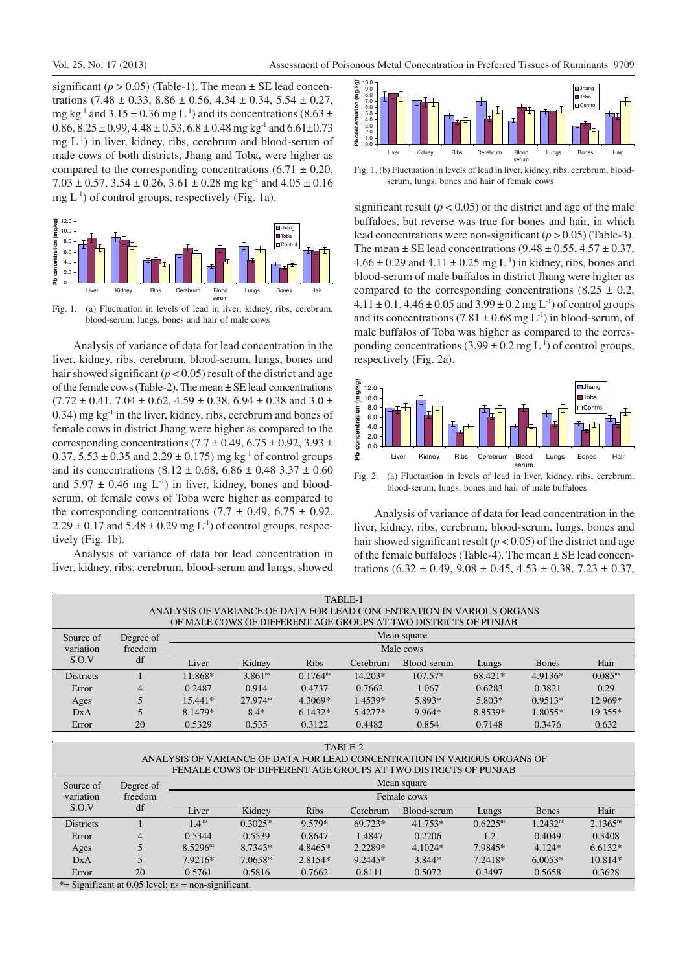significant ( $p > 0.05$ ) (Table-1). The mean  $\pm$  SE lead concentrations  $(7.48 \pm 0.33, 8.86 \pm 0.56, 4.34 \pm 0.34, 5.54 \pm 0.27,$ mg kg<sup>-1</sup> and  $3.15 \pm 0.36$  mg L<sup>-1</sup>) and its concentrations (8.63  $\pm$ 0.86,  $8.25 \pm 0.99$ ,  $4.48 \pm 0.53$ ,  $6.8 \pm 0.48$  mg kg<sup>-1</sup> and  $6.61 \pm 0.73$  $mg L^{-1}$ ) in liver, kidney, ribs, cerebrum and blood-serum of male cows of both districts, Jhang and Toba, were higher as compared to the corresponding concentrations  $(6.71 \pm 0.20,$  $7.03 \pm 0.57$ ,  $3.54 \pm 0.26$ ,  $3.61 \pm 0.28$  mg kg<sup>-1</sup> and  $4.05 \pm 0.16$ mg  $L^{-1}$ ) of control groups, respectively (Fig. 1a).



Fig. 1. (a) Fluctuation in levels of lead in liver, kidney, ribs, cerebrum, blood-serum, lungs, bones and hair of male cows

Analysis of variance of data for lead concentration in the liver, kidney, ribs, cerebrum, blood-serum, lungs, bones and hair showed significant ( $p < 0.05$ ) result of the district and age of the female cows (Table-2). The mean  $\pm$  SE lead concentrations  $(7.72 \pm 0.41, 7.04 \pm 0.62, 4.59 \pm 0.38, 6.94 \pm 0.38, 3.0 \pm 0.38)$  $(0.34)$  mg kg<sup>-1</sup> in the liver, kidney, ribs, cerebrum and bones of female cows in district Jhang were higher as compared to the corresponding concentrations (7.7  $\pm$  0.49, 6.75  $\pm$  0.92, 3.93  $\pm$ 0.37,  $5.53 \pm 0.35$  and  $2.29 \pm 0.175$ ) mg kg<sup>-1</sup> of control groups and its concentrations  $(8.12 \pm 0.68, 6.86 \pm 0.48, 3.37 \pm 0.60)$ and  $5.97 \pm 0.46$  mg L<sup>-1</sup>) in liver, kidney, bones and bloodserum, of female cows of Toba were higher as compared to the corresponding concentrations  $(7.7 \pm 0.49, 6.75 \pm 0.92,$  $2.29 \pm 0.17$  and  $5.48 \pm 0.29$  mg L<sup>-1</sup>) of control groups, respectively (Fig. 1b).

Analysis of variance of data for lead concentration in liver, kidney, ribs, cerebrum, blood-serum and lungs, showed



Fig. 1. (b) Fluctuation in levels of lead in liver, kidney, ribs, cerebrum, bloodserum, lungs, bones and hair of female cows

significant result ( $p < 0.05$ ) of the district and age of the male buffaloes, but reverse was true for bones and hair, in which lead concentrations were non-significant (*p* > 0.05) (Table-3). The mean  $\pm$  SE lead concentrations (9.48  $\pm$  0.55, 4.57  $\pm$  0.37,  $4.66 \pm 0.29$  and  $4.11 \pm 0.25$  mg L<sup>-1</sup>) in kidney, ribs, bones and blood-serum of male buffalos in district Jhang were higher as compared to the corresponding concentrations  $(8.25 \pm 0.2,$  $4.11 \pm 0.1$ ,  $4.46 \pm 0.05$  and  $3.99 \pm 0.2$  mg L<sup>-1</sup>) of control groups and its concentrations (7.81  $\pm$  0.68 mg L<sup>-1</sup>) in blood-serum, of male buffalos of Toba was higher as compared to the corresponding concentrations  $(3.99 \pm 0.2 \text{ mg L}^{-1})$  of control groups, respectively (Fig. 2a).



blood-serum, lungs, bones and hair of male buffaloes

Analysis of variance of data for lead concentration in the liver, kidney, ribs, cerebrum, blood-serum, lungs, bones and hair showed significant result ( $p < 0.05$ ) of the district and age of the female buffaloes (Table-4). The mean  $\pm$  SE lead concentrations  $(6.32 \pm 0.49, 9.08 \pm 0.45, 4.53 \pm 0.38, 7.23 \pm 0.37,$ 

| TABLE-1<br>ANALYSIS OF VARIANCE OF DATA FOR LEAD CONCENTRATION IN VARIOUS ORGANS<br>OF MALE COWS OF DIFFERENT AGE GROUPS AT TWO DISTRICTS OF PUNJAB |                            |             |              |               |           |             |          |              |              |  |
|-----------------------------------------------------------------------------------------------------------------------------------------------------|----------------------------|-------------|--------------|---------------|-----------|-------------|----------|--------------|--------------|--|
| Source of                                                                                                                                           | Degree of<br>freedom<br>df | Mean square |              |               |           |             |          |              |              |  |
| variation<br>S.O.V                                                                                                                                  |                            | Male cows   |              |               |           |             |          |              |              |  |
|                                                                                                                                                     |                            | Liver       | Kidney       | <b>Ribs</b>   | Cerebrum  | Blood-serum | Lungs    | <b>Bones</b> | Hair         |  |
| <b>Districts</b>                                                                                                                                    |                            | 11.868*     | $3.861^{ns}$ | $0.1764^{ns}$ | $14.203*$ | $107.57*$   | 68.421*  | $4.9136*$    | $0.085^{ns}$ |  |
| Error                                                                                                                                               | $\overline{4}$             | 0.2487      | 0.914        | 0.4737        | 0.7662    | 1.067       | 0.6283   | 0.3821       | 0.29         |  |
| Ages                                                                                                                                                |                            | $15.441*$   | $27.974*$    | $4.3069*$     | 1.4539*   | 5.893*      | $5.803*$ | $0.9513*$    | 12.969*      |  |
| DxA                                                                                                                                                 |                            | 8.1479*     | $8.4*$       | $6.1432*$     | $5.4277*$ | $9.964*$    | 8.8539*  | $1.8055*$    | $19.355*$    |  |
| Error                                                                                                                                               | 20                         | 0.5329      | 0.535        | 0.3122        | 0.4482    | 0.854       | 0.7148   | 0.3476       | 0.632        |  |

TABLE-2

ANALYSIS OF VARIANCE OF DATA FOR LEAD CONCENTRATION IN VARIOUS ORGANS OF FEMALE COWS OF DIFFERENT AGE GROUPS AT TWO DISTRICTS OF PUNJAB

| Degree of<br>freedom | Mean square                  |               |             |           |             |               |                      |               |  |
|----------------------|------------------------------|---------------|-------------|-----------|-------------|---------------|----------------------|---------------|--|
|                      | Female cows                  |               |             |           |             |               |                      |               |  |
| df                   | Liver                        | Kidney        | <b>Ribs</b> | Cerebrum  | Blood-serum | Lungs         | <b>Bones</b>         | Hair          |  |
|                      | $\mathsf{1.4}^{\mathrm{ns}}$ | $0.3025^{ns}$ | 9.579*      | 69.723*   | $41.753*$   | $0.6225^{ns}$ | 1.2432 <sup>ns</sup> | $2.1365^{ns}$ |  |
| 4                    | 0.5344                       | 0.5539        | 0.8647      | 1.4847    | 0.2206      | 1.2           | 0.4049               | 0.3408        |  |
|                      | $8.5296^{ns}$                | 8.7343*       | 4.8465*     | 2.2289*   | $4.1024*$   | 7.9845*       | $4.124*$             | $6.6132*$     |  |
|                      | 7.9216*                      | 7.0658*       | 2.8154*     | $9.2445*$ | $3.844*$    | 7.2418*       | $6.0053*$            | $10.814*$     |  |
| 20                   | 0.5761                       | 0.5816        | 0.7662      | 0.8111    | 0.5072      | 0.3497        | 0.5658               | 0.3628        |  |
|                      |                              |               |             |           |             |               |                      |               |  |

 $*$ = Significant at 0.05 level; ns = non-significant.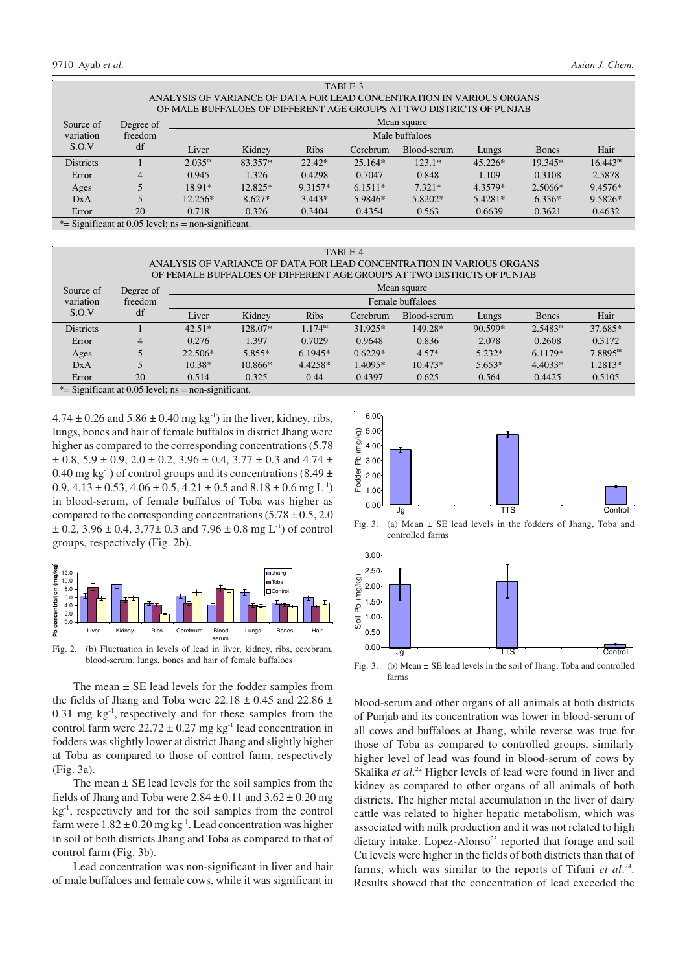| TABLE-3                                                                |
|------------------------------------------------------------------------|
| ANALYSIS OF VARIANCE OF DATA FOR LEAD CONCENTRATION IN VARIOUS ORGANS. |
| OF MALE BUFFALOES OF DIFFERENT AGE GROUPS AT TWO DISTRICTS OF PUNJAB   |

| Male buffaloes |  |  |  |  |  |  |  |  |
|----------------|--|--|--|--|--|--|--|--|
| Hair           |  |  |  |  |  |  |  |  |
| $16.443^{ns}$  |  |  |  |  |  |  |  |  |
| 2.5878         |  |  |  |  |  |  |  |  |
| 9.4576*        |  |  |  |  |  |  |  |  |
| 9.5826*        |  |  |  |  |  |  |  |  |
| 0.4632         |  |  |  |  |  |  |  |  |
|                |  |  |  |  |  |  |  |  |

 $*$ = Significant at 0.05 level; ns = non-significant.

| TABLE-4                                                                |                            |                  |           |              |           |             |          |               |               |  |
|------------------------------------------------------------------------|----------------------------|------------------|-----------|--------------|-----------|-------------|----------|---------------|---------------|--|
| ANALYSIS OF VARIANCE OF DATA FOR LEAD CONCENTRATION IN VARIOUS ORGANS  |                            |                  |           |              |           |             |          |               |               |  |
| OF FEMALE BUFFALOES OF DIFFERENT AGE GROUPS AT TWO DISTRICTS OF PUNJAB |                            |                  |           |              |           |             |          |               |               |  |
| Source of<br>variation<br>S.O.V                                        | Degree of<br>freedom<br>df | Mean square      |           |              |           |             |          |               |               |  |
|                                                                        |                            | Female buffaloes |           |              |           |             |          |               |               |  |
|                                                                        |                            | Liver            | Kidney    | <b>Ribs</b>  | Cerebrum  | Blood-serum | Lungs    | <b>Bones</b>  | Hair          |  |
| <b>Districts</b>                                                       |                            | $42.51*$         | 128.07*   | $1.174^{ns}$ | 31.925*   | 149.28*     | 90.599*  | $2.5483^{ns}$ | 37.685*       |  |
| Error                                                                  | 4                          | 0.276            | 1.397     | 0.7029       | 0.9648    | 0.836       | 2.078    | 0.2608        | 0.3172        |  |
| Ages                                                                   |                            | $22.506*$        | $5.855*$  | $6.1945*$    | $0.6229*$ | $4.57*$     | $5.232*$ | $6.1179*$     | $7.8895^{ns}$ |  |
| DxA                                                                    |                            | $10.38*$         | $10.866*$ | $4.4258*$    | $1.4095*$ | $10.473*$   | $5.653*$ | $4.4033*$     | $1.2813*$     |  |
| Error                                                                  | 20                         | 0.514            | 0.325     | 0.44         | 0.4397    | 0.625       | 0.564    | 0.4425        | 0.5105        |  |
| $\star$ Conificant at 0.05 lavels no second conificant                 |                            |                  |           |              |           |             |          |               |               |  |

 $=$  Significant at 0.05 level; ns  $=$  non-significan

 $4.74 \pm 0.26$  and  $5.86 \pm 0.40$  mg kg<sup>-1</sup>) in the liver, kidney, ribs, lungs, bones and hair of female buffalos in district Jhang were higher as compared to the corresponding concentrations (5.78  $\pm$  0.8, 5.9  $\pm$  0.9, 2.0  $\pm$  0.2, 3.96  $\pm$  0.4, 3.77  $\pm$  0.3 and 4.74  $\pm$ 0.40 mg kg<sup>-1</sup>) of control groups and its concentrations (8.49  $\pm$ 0.9,  $4.13 \pm 0.53$ ,  $4.06 \pm 0.5$ ,  $4.21 \pm 0.5$  and  $8.18 \pm 0.6$  mg L<sup>-1</sup>) in blood-serum, of female buffalos of Toba was higher as compared to the corresponding concentrations  $(5.78 \pm 0.5, 2.0)$  $\pm$  0.2, 3.96  $\pm$  0.4, 3.77 $\pm$  0.3 and 7.96  $\pm$  0.8 mg L<sup>-1</sup>) of control groups, respectively (Fig. 2b).



Fig. 2. (b) Fluctuation in levels of lead in liver, kidney, ribs, cerebrum, blood-serum, lungs, bones and hair of female buffaloes

The mean  $\pm$  SE lead levels for the fodder samples from the fields of Jhang and Toba were  $22.18 \pm 0.45$  and  $22.86 \pm 0.45$  $0.31$  mg kg<sup>-1</sup>, respectively and for these samples from the control farm were  $22.72 \pm 0.27$  mg kg<sup>-1</sup> lead concentration in fodders was slightly lower at district Jhang and slightly higher at Toba as compared to those of control farm, respectively (Fig. 3a).

The mean  $\pm$  SE lead levels for the soil samples from the fields of Jhang and Toba were  $2.84 \pm 0.11$  and  $3.62 \pm 0.20$  mg kg<sup>-1</sup>, respectively and for the soil samples from the control farm were  $1.82 \pm 0.20$  mg kg<sup>-1</sup>. Lead concentration was higher in soil of both districts Jhang and Toba as compared to that of control farm (Fig. 3b).

Lead concentration was non-significant in liver and hair of male buffaloes and female cows, while it was significant in







Fig. 3. (b) Mean  $\pm$  SE lead levels in the soil of Jhang, Toba and controlled farms

blood-serum and other organs of all animals at both districts of Punjab and its concentration was lower in blood-serum of all cows and buffaloes at Jhang, while reverse was true for those of Toba as compared to controlled groups, similarly higher level of lead was found in blood-serum of cows by Skalika et al.<sup>22</sup> Higher levels of lead were found in liver and kidney as compared to other organs of all animals of both districts. The higher metal accumulation in the liver of dairy cattle was related to higher hepatic metabolism, which was associated with milk production and it was not related to high dietary intake. Lopez-Alonso<sup>23</sup> reported that forage and soil Cu levels were higher in the fields of both districts than that of farms, which was similar to the reports of Tifani et al.<sup>24</sup>. Results showed that the concentration of lead exceeded the